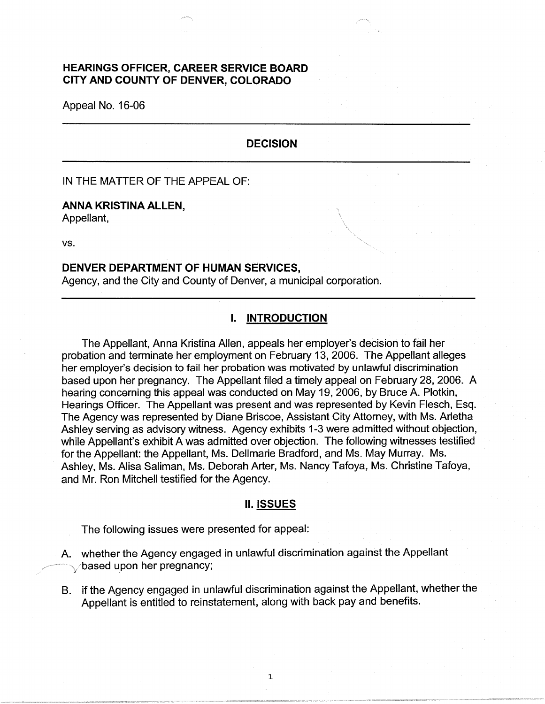# **HEARINGS OFFICER, CAREER SERVICE BOARD CITY AND COUNTY OF DENVER, COLORADO**

Appeal No. 16-06

# **DECISION**

IN THE MATTER OF THE APPEAL OF:

### **ANNA KRISTINA ALLEN,**

Appellant,

vs.

### **DENVER DEPARTMENT OF HUMAN SERVICES,**

Agency, and the City and County of Denver, a municipal corporation.

# **I. INTRODUCTION**

The Appellant, Anna Kristina Allen, appeals her employer's decision to fail her probation and terminate her employment on February 13, 2006. The Appellant alleges her employer's decision to fail her probation was motivated by unlawful discrimination based upon her pregnancy. The Appellant filed a timely appeal on February 28, 2006. A hearing concerning this appeal was conducted on May 19, 2006, by Bruce A. Plotkin, Hearings Officer. The Appellant was present and was represented by Kevin Flesch, Esq. The Agency was represented by Diane Briscoe, Assistant City Attorney, with Ms. Arletha Ashley serving as advisory witness. Agency exhibits 1-3 were admitted without objection, while Appellant's exhibit A was admitted over objection. The following witnesses testified for the Appellant: the Appellant, Ms. Dellmarie Bradford, and Ms. May Murray. Ms. Ashley, Ms. Alisa Saliman, Ms. Deborah Arter, Ms. Nancy Tafoya, Ms. Christine Tafoya, and Mr. Ron Mitchell testified for the Agency.

#### **II. ISSUES**

The following issues were presented for appeal:

- A. whether the Agency engaged in unlawful discrimination against the Appellant  $\searrow$ based upon her pregnancy;
- B. if the Agency engaged in unlawful discrimination against the Appellant, whether the Appellant is entitled to reinstatement, along with back pay and benefits.

1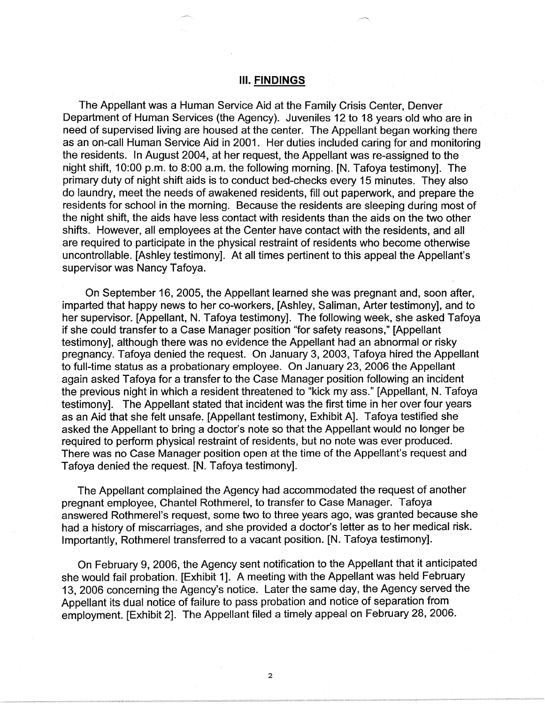#### Ill. **FINDINGS**

The Appellant was a Human Service Aid at the Family Crisis Center, Denver Department of Human Services (the Agency). Juveniles 12 to 18 years old who are in need of supervised living are housed at the center. The Appellant began working there as an on-call Human Service Aid in 2001. Her duties included caring for and monitoring the residents. In August 2004, at her request, the Appellant was re-assigned to the night shift, 10:00 p.m. to 8:00 a.m. the following morning. [N. Tafoya testimony]. The primary duty of night shift aids is to conduct bed-checks every 15 minutes. They also do laundry, meet the needs of awakened residents, fill out paperwork, and prepare the residents for school in the morning. Because the residents are sleeping during most of the night shift, the aids have less contact with residents than the aids on the two other shifts. However, all employees at the Center have contact with the residents, and all are required to participate in the physical restraint of residents who become otherwise uncontrollable. [Ashley testimony]. At all times pertinent to this appeal the Appellant's supervisor was Nancy Tafoya.

On September 16, 2005, the Appellant learned she was pregnant and, soon after, imparted that happy news to her co-workers, [Ashley, Saliman, Arter testimony], and to her supervisor. [Appellant, N. Tafoya testimony]. The following week, she asked Tafoya if she could transfer to a Case Manager position "for safety reasons," [Appellant testimony], although there was no evidence the Appellant had an abnormal or risky pregnancy. Tafoya denied the request. On January 3, 2003, Tafoya hired the Appellant to full-time status as a probationary employee. On January 23, 2006 the Appellant again asked Tafoya for a transfer to the Case Manager position following an incident the previous night in which a resident threatened to "kick my ass." [Appellant, N. Tafoya testimony]. The Appellant stated that incident was the first time in her over four years as an Aid that she felt unsafe. [Appellant testimony, Exhibit A]. Tafoya testified she asked the Appellant to bring a doctor's note so that the Appellant would no longer be required to perform physical restraint of residents, but no note was ever produced. There was no Case Manager position open at the time of the Appellant's request and Tafoya denied the request. [N. Tafoya testimony].

The Appellant complained the Agency had accommodated the request of another pregnant employee, Chantel Rothmerel, to transfer to Case Manager. Tafoya answered Rothmerel's request, some two to three years ago, was granted because she had a history of miscarriages, and she provided a doctor's letter as to her medical risk. Importantly, Rothmerel transferred to a vacant position. [N. Tafoya testimony].

On February 9, 2006, the Agency sent notification to the Appellant that it anticipated she would fail probation. [Exhibit 1]. A meeting with the Appellant was held February 13, 2006 concerning the Agency's notice. Later the same day, the Agency served the Appellant its dual notice of failure to pass probation and notice of separation from employment. [Exhibit 2]. The Appellant filed a timely appeal on February 28, 2006.

2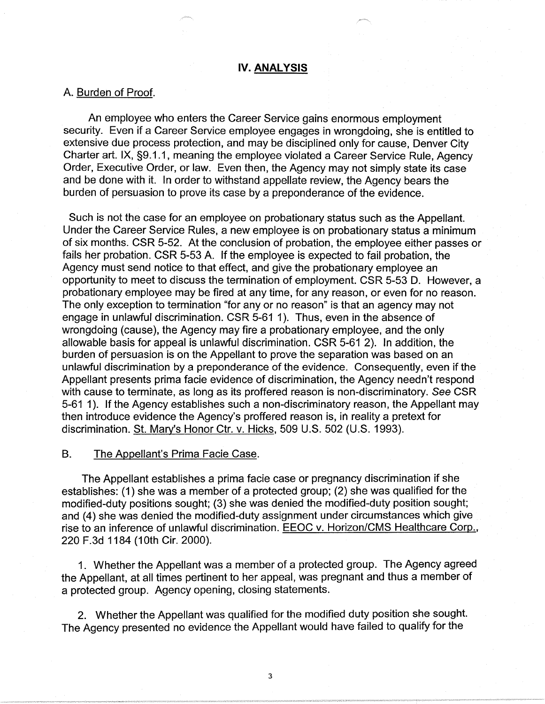#### **IV. ANALYSIS**

#### A. Burden of Proof.

An employee who enters the Career Service gains enormous employment security. Even if a Career Service employee engages in wrongdoing, she is entitled to extensive due process protection, and may be disciplined only for cause, Denver City Charter art. IX, §9.1.1, meaning the employee violated a Career Service Rule, Agency Order, Executive Order, or law. Even then, the Agency may not simply state its case and be done with it. In order to withstand appellate review, the Agency bears the burden of persuasion to prove its case by a preponderance of the evidence.

Such is not the case for an employee on probationary status such as the Appellant. Under the Career Service Rules, a new employee is on probationary status a minimum of six months. CSR 5-52. At the conclusion of probation, the employee either passes or fails her probation. CSR 5-53 A. If the employee is expected to fail probation, the Agency must send notice to that effect, and give the probationary employee an opportunity to meet to discuss the termination of employment. CSR 5-53 D. However, a probationary employee may be fired at any time, for any reason, or even for no reason. The only exception to termination "for any or no reason" is that an agency may not engage in unlawful discrimination. CSR 5-61 1 ). Thus, even in the absence of wrongdoing (cause), the Agency may fire a probationary employee, and the only allowable basis for appeal is unlawful discrimination. CSR 5-61 2). In addition, the burden of persuasion is on the Appellant to prove the separation was based on an unlawful discrimination by a preponderance of the evidence. Consequently, even if the Appellant presents prima facie evidence of discrimination, the Agency needn't respond with cause to terminate, as long as its proffered reason is non-discriminatory. See CSR 5-61 1). If the Agency establishes such a non-discriminatory reason, the Appellant may then introduce evidence the Agency's proffered reason is, in reality a pretext for discrimination. St. Mary's Honor Ctr. v. Hicks, 509 U.S. 502 (U.S. 1993).

### B. The Appellant's Prima Facie Case.

The Appellant establishes a prima facie case or pregnancy discrimination if she establishes: (1) she was a member of a protected group; (2) she was qualified for the modified-duty positions sought; (3) she was denied the modified-duty position sought; and (4) she was denied the modified-duty assignment under circumstances which give rise to an inference of unlawful discrimination. EEOC v. Horizon/CMS Healthcare Corp., 220 F.3d 1184 (10th Cir. 2000).

1. Whether the Appellant was a member of a protected group. The Agency agreed the Appellant, at all times pertinent to her appeal, was pregnant and thus a member of a protected group. Agency opening, closing statements.

2. Whether the Appellant was qualified for the modified duty position she sought. The Agency presented no evidence the Appellant would have failed to qualify for the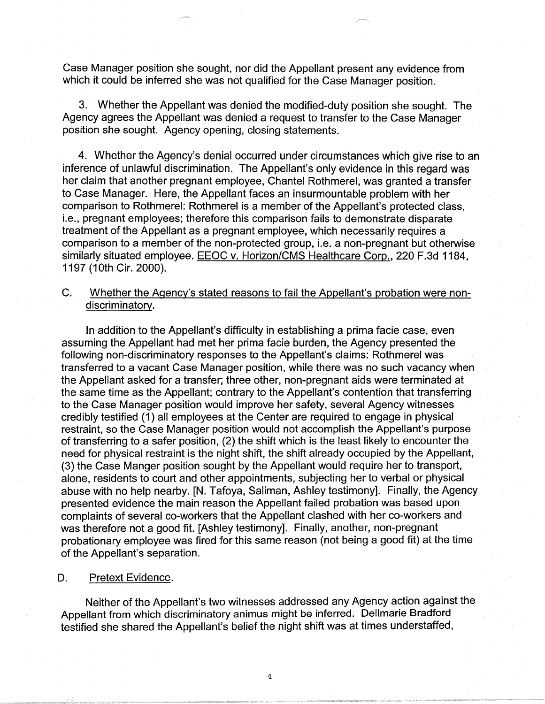Case Manager position she sought, nor did the Appellant present any evidence from which it could be inferred she was not qualified for the Case Manager position.

3. Whether the Appellant was denied the modified-duty position she sought. The Agency agrees the Appellant was denied a request to transfer to the Case Manager position she sought. Agency opening, closing statements.

4. Whether the Agency's denial occurred under circumstances which give rise to an inference of unlawful discrimination. The Appellant's only evidence in this regard was her claim that another pregnant employee, Chantel Rothmerel, was granted a transfer to Case Manager. Here, the Appellant faces an insurmountable problem with her comparison to Rothmerel: Rothmerel is a member of the Appellant's protected class, i.e., pregnant employees; therefore this comparison fails to demonstrate disparate treatment of the Appellant as a pregnant employee, which necessarily requires a comparison to a member of the non-protected group, i.e. a non-pregnant but otherwise similarly situated employee. EEOC v. Horizon/CMS Healthcare Corp., 220 F.3d 1184, 1197 (10th Cir. 2000).

# C. Whether the Agency's stated reasons to fail the Appellant's probation were nondiscriminatory.

In addition to the Appellant's difficulty in establishing a prima facie case, even assuming the Appellant had met her prima facie burden, the Agency presented the following non-discriminatory responses to the Appellant's claims: Rothmerel was transferred to a vacant Case Manager position, while there was no such vacancy when the Appellant asked for a transfer; three other, non-pregnant aids were terminated at the same time as the Appellant; contrary to the Appellant's contention that transferring to the Case Manager position would improve her safety, several Agency witnesses credibly testified (1) all employees at the Center are required to engage in physical restraint, so the Case Manager position would not accomplish the Appellant's purpose of transferring to a safer position, (2) the shift which is the least likely to encounter the need for physical restraint is the night shift, the shift already occupied by the Appellant, (3) the Case Manger position sought by the Appellant would require her to transport, alone, residents to court and other appointments, subjecting her to verbal or physical abuse with no help nearby. [N. Tafoya, Saliman, Ashley testimony]. Finally, the Agency presented evidence the main reason the Appellant failed probation was based upon complaints of several co-workers that the Appellant clashed with her co-workers and was therefore not a good fit. [Ashley testimony]. Finally, another, non-pregnant probationary employee was fired for this same reason (not being a good fit) at the time of the Appellant's separation.

## D. Pretext Evidence.

Neither of the Appellant's two witnesses addressed any Agency action against the Appellant from which discriminatory animus might be inferred. Dellmarie Bradford testified she shared the Appellant's belief the night shift was at times understaffed,

4